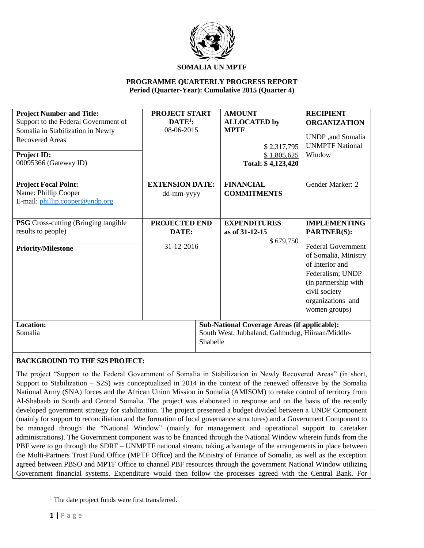

### **PROGRAMME QUARTERLY PROGRESS REPORT Period (Quarter-Year): Cumulative 2015 (Quarter 4)**

| <b>Project Number and Title:</b>            | <b>PROJECT START</b>   |          | <b>AMOUNT</b>                                       | <b>RECIPIENT</b>          |
|---------------------------------------------|------------------------|----------|-----------------------------------------------------|---------------------------|
| Support to the Federal Government of        | $DATA$ :               |          | <b>ALLOCATED</b> by                                 | <b>ORGANIZATION</b>       |
| Somalia in Stabilization in Newly           | 08-06-2015             |          | <b>MPTF</b>                                         |                           |
| <b>Recovered Areas</b>                      |                        |          |                                                     | UNDP, and Somalia         |
|                                             |                        |          | \$2,317,795                                         | <b>UNMPTF National</b>    |
| <b>Project ID:</b>                          |                        |          | \$1,805,625                                         | Window                    |
| 00095366 (Gateway ID)                       |                        |          | Total: \$4,123,420                                  |                           |
|                                             |                        |          |                                                     |                           |
| <b>Project Focal Point:</b>                 | <b>EXTENSION DATE:</b> |          | <b>FINANCIAL</b>                                    | Gender Marker: 2          |
| Name: Phillip Cooper                        | dd-mm-yyyy             |          | <b>COMMITMENTS</b>                                  |                           |
| E-mail: phillip.cooper@undp.org             |                        |          |                                                     |                           |
|                                             |                        |          |                                                     |                           |
| <b>PSG</b> Cross-cutting (Bringing tangible | PROJECTED END          |          | <b>EXPENDITURES</b>                                 | <b>IMPLEMENTING</b>       |
| results to people)                          | DATE:                  |          | as of 31-12-15                                      | <b>PARTNER(S):</b>        |
|                                             |                        |          | \$679,750                                           |                           |
| <b>Priority/Milestone</b>                   | 31-12-2016             |          |                                                     | <b>Federal Government</b> |
|                                             |                        |          |                                                     | of Somalia, Ministry      |
|                                             |                        |          |                                                     | of Interior and           |
|                                             |                        |          |                                                     | Federalism; UNDP          |
|                                             |                        |          |                                                     | (in partnership with      |
|                                             |                        |          |                                                     | civil society             |
|                                             |                        |          |                                                     | organizations and         |
|                                             |                        |          |                                                     | women groups)             |
|                                             |                        |          |                                                     |                           |
| Location:                                   |                        |          | <b>Sub-National Coverage Areas (if applicable):</b> |                           |
| Somalia                                     |                        |          | South West, Jubbaland, Galmudug, Hiiraan/Middle-    |                           |
|                                             |                        | Shabelle |                                                     |                           |

### **BACKGROUND TO THE S2S PROJECT:**

The project "Support to the Federal Government of Somalia in Stabilization in Newly Recovered Areas" (in short, Support to Stabilization – S2S) was conceptualized in 2014 in the context of the renewed offensive by the Somalia National Army (SNA) forces and the African Union Mission in Somalia (AMISOM) to retake control of territory from Al-Shabaab in South and Central Somalia. The project was elaborated in response and on the basis of the recently developed government strategy for stabilization. The project presented a budget divided between a UNDP Component (mainly for support to reconciliation and the formation of local governance structures) and a Government Component to be managed through the "National Window" (mainly for management and operational support to caretaker administrations). The Government component was to be financed through the National Window wherein funds from the PBF were to go through the SDRF – UNMPTF national stream, taking advantage of the arrangements in place between the Multi-Partners Trust Fund Office (MPTF Office) and the Ministry of Finance of Somalia, as well as the exception agreed between PBSO and MPTF Office to channel PBF resources through the government National Window utilizing Government financial systems. Expenditure would then follow the processes agreed with the Central Bank. For

 $\overline{\phantom{a}}$ 

<sup>&</sup>lt;sup>1</sup> The date project funds were first transferred.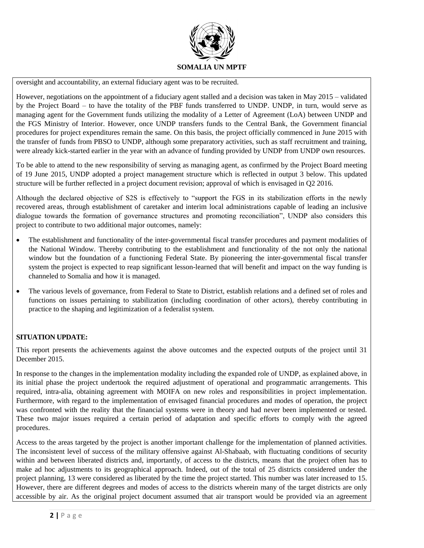

oversight and accountability, an external fiduciary agent was to be recruited.

However, negotiations on the appointment of a fiduciary agent stalled and a decision was taken in May 2015 – validated by the Project Board – to have the totality of the PBF funds transferred to UNDP. UNDP, in turn, would serve as managing agent for the Government funds utilizing the modality of a Letter of Agreement (LoA) between UNDP and the FGS Ministry of Interior. However, once UNDP transfers funds to the Central Bank, the Government financial procedures for project expenditures remain the same. On this basis, the project officially commenced in June 2015 with the transfer of funds from PBSO to UNDP, although some preparatory activities, such as staff recruitment and training, were already kick-started earlier in the year with an advance of funding provided by UNDP from UNDP own resources.

To be able to attend to the new responsibility of serving as managing agent, as confirmed by the Project Board meeting of 19 June 2015, UNDP adopted a project management structure which is reflected in output 3 below. This updated structure will be further reflected in a project document revision; approval of which is envisaged in Q2 2016.

Although the declared objective of S2S is effectively to "support the FGS in its stabilization efforts in the newly recovered areas, through establishment of caretaker and interim local administrations capable of leading an inclusive dialogue towards the formation of governance structures and promoting reconciliation", UNDP also considers this project to contribute to two additional major outcomes, namely:

- The establishment and functionality of the inter-governmental fiscal transfer procedures and payment modalities of the National Window. Thereby contributing to the establishment and functionality of the not only the national window but the foundation of a functioning Federal State. By pioneering the inter-governmental fiscal transfer system the project is expected to reap significant lesson-learned that will benefit and impact on the way funding is channeled to Somalia and how it is managed.
- The various levels of governance, from Federal to State to District, establish relations and a defined set of roles and functions on issues pertaining to stabilization (including coordination of other actors), thereby contributing in practice to the shaping and legitimization of a federalist system.

### **SITUATION UPDATE:**

This report presents the achievements against the above outcomes and the expected outputs of the project until 31 December 2015.

In response to the changes in the implementation modality including the expanded role of UNDP, as explained above, in its initial phase the project undertook the required adjustment of operational and programmatic arrangements. This required, intra-alia, obtaining agreement with MOIFA on new roles and responsibilities in project implementation. Furthermore, with regard to the implementation of envisaged financial procedures and modes of operation, the project was confronted with the reality that the financial systems were in theory and had never been implemented or tested. These two major issues required a certain period of adaptation and specific efforts to comply with the agreed procedures.

Access to the areas targeted by the project is another important challenge for the implementation of planned activities. The inconsistent level of success of the military offensive against Al-Shabaab, with fluctuating conditions of security within and between liberated districts and, importantly, of access to the districts, means that the project often has to make ad hoc adjustments to its geographical approach. Indeed, out of the total of 25 districts considered under the project planning, 13 were considered as liberated by the time the project started. This number was later increased to 15. However, there are different degrees and modes of access to the districts wherein many of the target districts are only accessible by air. As the original project document assumed that air transport would be provided via an agreement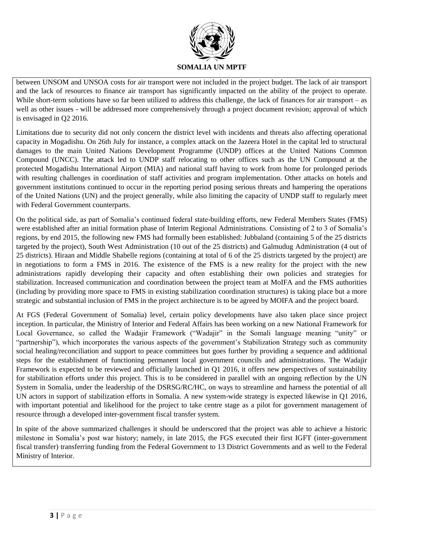

between UNSOM and UNSOA costs for air transport were not included in the project budget. The lack of air transport and the lack of resources to finance air transport has significantly impacted on the ability of the project to operate. While short-term solutions have so far been utilized to address this challenge, the lack of finances for air transport – as well as other issues - will be addressed more comprehensively through a project document revision; approval of which is envisaged in Q2 2016.

Limitations due to security did not only concern the district level with incidents and threats also affecting operational capacity in Mogadishu. On 26th July for instance, a complex attack on the Jazeera Hotel in the capital led to structural damages to the main United Nations Development Programme (UNDP) offices at the United Nations Common Compound (UNCC). The attack led to UNDP staff relocating to other offices such as the UN Compound at the protected Mogadishu International Airport (MIA) and national staff having to work from home for prolonged periods with resulting challenges in coordination of staff activities and program implementation. Other attacks on hotels and government institutions continued to occur in the reporting period posing serious threats and hampering the operations of the United Nations (UN) and the project generally, while also limiting the capacity of UNDP staff to regularly meet with Federal Government counterparts.

On the political side, as part of Somalia's continued federal state-building efforts, new Federal Members States (FMS) were established after an initial formation phase of Interim Regional Administrations. Consisting of 2 to 3 of Somalia's regions, by end 2015, the following new FMS had formally been established: Jubbaland (containing 5 of the 25 districts targeted by the project), South West Administration (10 out of the 25 districts) and Galmudug Administration (4 out of 25 districts). Hiraan and Middle Shabelle regions (containing at total of 6 of the 25 districts targeted by the project) are in negotiations to form a FMS in 2016. The existence of the FMS is a new reality for the project with the new administrations rapidly developing their capacity and often establishing their own policies and strategies for stabilization. Increased communication and coordination between the project team at MoIFA and the FMS authorities (including by providing more space to FMS in existing stabilization coordination structures) is taking place but a more strategic and substantial inclusion of FMS in the project architecture is to be agreed by MOIFA and the project board.

At FGS (Federal Government of Somalia) level, certain policy developments have also taken place since project inception. In particular, the Ministry of Interior and Federal Affairs has been working on a new National Framework for Local Governance, so called the Wadajir Framework ("Wadajir" in the Somali language meaning "unity" or "partnership"), which incorporates the various aspects of the government's Stabilization Strategy such as community social healing/reconciliation and support to peace committees but goes further by providing a sequence and additional steps for the establishment of functioning permanent local government councils and administrations. The Wadajir Framework is expected to be reviewed and officially launched in Q1 2016, it offers new perspectives of sustainability for stabilization efforts under this project. This is to be considered in parallel with an ongoing reflection by the UN System in Somalia, under the leadership of the DSRSG/RC/HC, on ways to streamline and harness the potential of all UN actors in support of stabilization efforts in Somalia. A new system-wide strategy is expected likewise in Q1 2016, with important potential and likelihood for the project to take centre stage as a pilot for government management of resource through a developed inter-government fiscal transfer system.

In spite of the above summarized challenges it should be underscored that the project was able to achieve a historic milestone in Somalia's post war history; namely, in late 2015, the FGS executed their first IGFT (inter-government fiscal transfer) transferring funding from the Federal Government to 13 District Governments and as well to the Federal Ministry of Interior.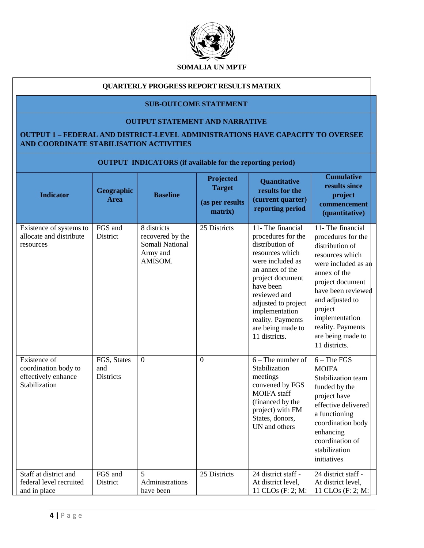

### **QUARTERLY PROGRESS REPORT RESULTS MATRIX**

## **SUB-OUTCOME STATEMENT**

#### **OUTPUT STATEMENT AND NARRATIVE**

## **OUTPUT 1 – FEDERAL AND DISTRICT-LEVEL ADMINISTRATIONS HAVE CAPACITY TO OVERSEE AND COORDINATE STABILISATION ACTIVITIES**

|                                                                              | <b>OUTPUT INDICATORS</b> (if available for the reporting period) |                                                                           |                                                          |                                                                                                                                                                                                                                                                           |                                                                                                                                                                                                                                                                           |  |  |  |
|------------------------------------------------------------------------------|------------------------------------------------------------------|---------------------------------------------------------------------------|----------------------------------------------------------|---------------------------------------------------------------------------------------------------------------------------------------------------------------------------------------------------------------------------------------------------------------------------|---------------------------------------------------------------------------------------------------------------------------------------------------------------------------------------------------------------------------------------------------------------------------|--|--|--|
| <b>Indicator</b>                                                             | Geographic<br><b>Area</b>                                        | <b>Baseline</b>                                                           | Projected<br><b>Target</b><br>(as per results<br>matrix) | Quantitative<br>results for the<br>(current quarter)<br>reporting period                                                                                                                                                                                                  | <b>Cumulative</b><br>results since<br>project<br>commencement<br>(quantitative)                                                                                                                                                                                           |  |  |  |
| Existence of systems to<br>allocate and distribute<br>resources              | FGS and<br>District                                              | 8 districts<br>recovered by the<br>Somali National<br>Army and<br>AMISOM. | 25 Districts                                             | 11- The financial<br>procedures for the<br>distribution of<br>resources which<br>were included as<br>an annex of the<br>project document<br>have been<br>reviewed and<br>adjusted to project<br>implementation<br>reality. Payments<br>are being made to<br>11 districts. | 11- The financial<br>procedures for the<br>distribution of<br>resources which<br>were included as an<br>annex of the<br>project document<br>have been reviewed<br>and adjusted to<br>project<br>implementation<br>reality. Payments<br>are being made to<br>11 districts. |  |  |  |
| Existence of<br>coordination body to<br>effectively enhance<br>Stabilization | FGS, States<br>and<br><b>Districts</b>                           | $\overline{0}$                                                            | $\theta$                                                 | $6 -$ The number of<br>Stabilization<br>meetings<br>convened by FGS<br>MOIFA staff<br>(financed by the<br>project) with FM<br>States, donors,<br>UN and others                                                                                                            | $6 - The FGS$<br><b>MOIFA</b><br>Stabilization team<br>funded by the<br>project have<br>effective delivered<br>a functioning<br>coordination body<br>enhancing<br>coordination of<br>stabilization<br>initiatives                                                         |  |  |  |
| Staff at district and<br>federal level recruited<br>and in place             | FGS and<br>District                                              | 5<br>Administrations<br>have been                                         | 25 Districts                                             | 24 district staff -<br>At district level,<br>11 CLOs (F: 2; M:                                                                                                                                                                                                            | 24 district staff -<br>At district level,<br>11 CLOs (F: 2; M:                                                                                                                                                                                                            |  |  |  |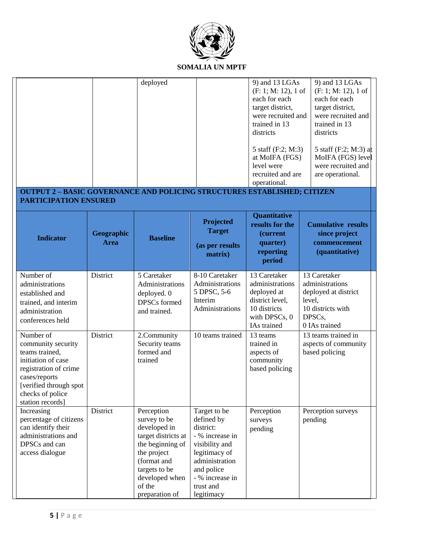

| <b>OUTPUT 2 - BASIC GOVERNANCE AND POLICING STRUCTURES ESTABLISHED; CITIZEN</b>                                                                                                     |                           | deployed                                                                                                                                                                           |                                                                                                                                                                             | 9) and 13 LGAs<br>$(F: 1; M: 12)$ , 1 of<br>each for each<br>target district,<br>were recruited and<br>trained in 13<br>districts<br>5 staff (F:2; M:3)<br>at MoIFA (FGS)<br>level were<br>recruited and are<br>operational. | 9) and 13 LGAs<br>$(F: 1; M: 12)$ , 1 of<br>each for each<br>target district,<br>were recruited and<br>trained in 13<br>districts<br>5 staff (F:2; M:3) at<br>MoIFA (FGS) level<br>were recruited and<br>are operational. |
|-------------------------------------------------------------------------------------------------------------------------------------------------------------------------------------|---------------------------|------------------------------------------------------------------------------------------------------------------------------------------------------------------------------------|-----------------------------------------------------------------------------------------------------------------------------------------------------------------------------|------------------------------------------------------------------------------------------------------------------------------------------------------------------------------------------------------------------------------|---------------------------------------------------------------------------------------------------------------------------------------------------------------------------------------------------------------------------|
| <b>PARTICIPATION ENSURED</b><br><b>Indicator</b>                                                                                                                                    | Geographic<br><b>Area</b> | <b>Baseline</b>                                                                                                                                                                    | Projected<br><b>Target</b><br>(as per results<br>matrix)                                                                                                                    | <b>Quantitative</b><br>results for the<br><i>(current</i><br>quarter)<br>reporting<br>period                                                                                                                                 | <b>Cumulative results</b><br>since project<br>commencement<br>(quantitative)                                                                                                                                              |
| Number of<br>administrations<br>established and<br>trained, and interim<br>administration<br>conferences held                                                                       | District                  | 5 Caretaker<br>Administrations<br>deployed. 0<br>DPSCs formed<br>and trained.                                                                                                      | 8-10 Caretaker<br>Administrations<br>5 DPSC, 5-6<br>Interim<br>Administrations                                                                                              | 13 Caretaker<br>administrations<br>deployed at<br>district level,<br>10 districts<br>with DPSCs, 0<br>IAs trained                                                                                                            | 13 Caretaker<br>administrations<br>deployed at district<br>level,<br>10 districts with<br>DPSCs,<br>0 IAs trained                                                                                                         |
| Number of<br>community security<br>teams trained,<br>initiation of case<br>registration of crime<br>cases/reports<br>[verified through spot<br>checks of police<br>station records] | District                  | 2.Community<br>Security teams<br>formed and<br>trained                                                                                                                             | 10 teams trained                                                                                                                                                            | 13 teams<br>trained in<br>aspects of<br>community<br>based policing                                                                                                                                                          | 13 teams trained in<br>aspects of community<br>based policing                                                                                                                                                             |
| Increasing<br>percentage of citizens<br>can identify their<br>administrations and<br>DPSCs and can<br>access dialogue                                                               | District                  | Perception<br>survey to be<br>developed in<br>target districts at<br>the beginning of<br>the project<br>(format and<br>targets to be<br>developed when<br>of the<br>preparation of | Target to be<br>defined by<br>district:<br>- % increase in<br>visibility and<br>legitimacy of<br>administration<br>and police<br>- % increase in<br>trust and<br>legitimacy | Perception<br>surveys<br>pending                                                                                                                                                                                             | Perception surveys<br>pending                                                                                                                                                                                             |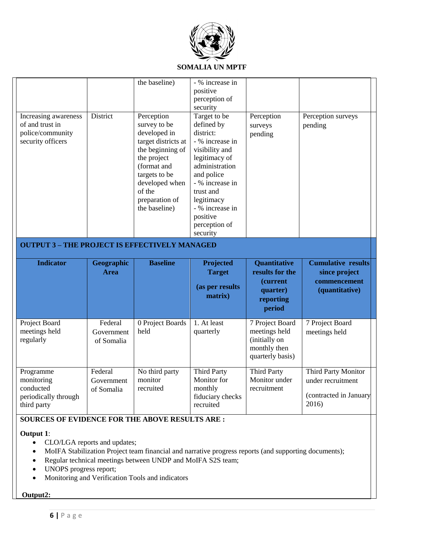

|                                                                                  |                                     | the baseline)                                                                                                                                                                                       | - % increase in<br>positive<br>perception of<br>security                                                                                                                                                                                |                                                                                       |                                                                              |
|----------------------------------------------------------------------------------|-------------------------------------|-----------------------------------------------------------------------------------------------------------------------------------------------------------------------------------------------------|-----------------------------------------------------------------------------------------------------------------------------------------------------------------------------------------------------------------------------------------|---------------------------------------------------------------------------------------|------------------------------------------------------------------------------|
| Increasing awareness<br>of and trust in<br>police/community<br>security officers | District                            | Perception<br>survey to be<br>developed in<br>target districts at<br>the beginning of<br>the project<br>(format and<br>targets to be<br>developed when<br>of the<br>preparation of<br>the baseline) | Target to be<br>defined by<br>district:<br>- % increase in<br>visibility and<br>legitimacy of<br>administration<br>and police<br>- % increase in<br>trust and<br>legitimacy<br>- % increase in<br>positive<br>perception of<br>security | Perception<br>surveys<br>pending                                                      | Perception surveys<br>pending                                                |
| <b>OUTPUT 3 - THE PROJECT IS EFFECTIVELY MANAGED</b>                             |                                     |                                                                                                                                                                                                     |                                                                                                                                                                                                                                         |                                                                                       |                                                                              |
|                                                                                  |                                     |                                                                                                                                                                                                     |                                                                                                                                                                                                                                         |                                                                                       |                                                                              |
| <b>Indicator</b>                                                                 | Geographic<br><b>Area</b>           | <b>Baseline</b>                                                                                                                                                                                     | Projected<br><b>Target</b><br>(as per results<br>matrix)                                                                                                                                                                                | Quantitative<br>results for the<br>(current<br>quarter)<br>reporting<br>period        | <b>Cumulative results</b><br>since project<br>commencement<br>(quantitative) |
| Project Board<br>meetings held<br>regularly                                      | Federal<br>Government<br>of Somalia | 0 Project Boards<br>held                                                                                                                                                                            | 1. At least<br>quarterly                                                                                                                                                                                                                | 7 Project Board<br>meetings held<br>(initially on<br>monthly then<br>quarterly basis) | 7 Project Board<br>meetings held                                             |

## **SOURCES OF EVIDENCE FOR THE ABOVE RESULTS ARE :**

### **Output 1**:

- CLO/LGA reports and updates;
- MoIFA Stabilization Project team financial and narrative progress reports (and supporting documents);
- Regular technical meetings between UNDP and MoIFA S2S team;
- UNOPS progress report;
- Monitoring and Verification Tools and indicators

### **Output2:**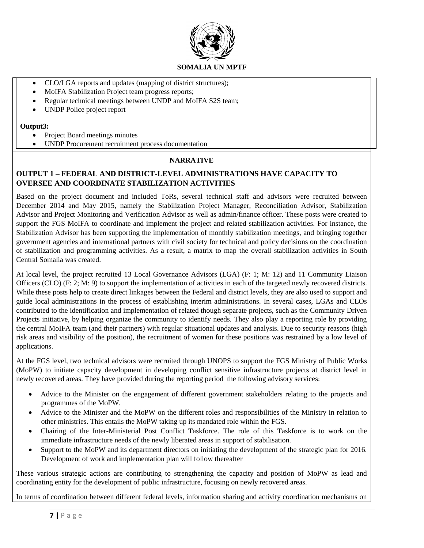

- CLO/LGA reports and updates (mapping of district structures);
- MoIFA Stabilization Project team progress reports;
- Regular technical meetings between UNDP and MoIFA S2S team;
- UNDP Police project report

#### **Output3:**

- Project Board meetings minutes
- UNDP Procurement recruitment process documentation

## **NARRATIVE**

## **OUTPUT 1 – FEDERAL AND DISTRICT-LEVEL ADMINISTRATIONS HAVE CAPACITY TO OVERSEE AND COORDINATE STABILIZATION ACTIVITIES**

Based on the project document and included ToRs, several technical staff and advisors were recruited between December 2014 and May 2015, namely the Stabilization Project Manager, Reconciliation Advisor, Stabilization Advisor and Project Monitoring and Verification Advisor as well as admin/finance officer. These posts were created to support the FGS MoIFA to coordinate and implement the project and related stabilization activities. For instance, the Stabilization Advisor has been supporting the implementation of monthly stabilization meetings, and bringing together government agencies and international partners with civil society for technical and policy decisions on the coordination of stabilization and programming activities. As a result, a matrix to map the overall stabilization activities in South Central Somalia was created.

At local level, the project recruited 13 Local Governance Advisors (LGA) (F: 1; M: 12) and 11 Community Liaison Officers (CLO) (F: 2; M: 9) to support the implementation of activities in each of the targeted newly recovered districts. While these posts help to create direct linkages between the Federal and district levels, they are also used to support and guide local administrations in the process of establishing interim administrations. In several cases, LGAs and CLOs contributed to the identification and implementation of related though separate projects, such as the Community Driven Projects initiative, by helping organize the community to identify needs. They also play a reporting role by providing the central MoIFA team (and their partners) with regular situational updates and analysis. Due to security reasons (high risk areas and visibility of the position), the recruitment of women for these positions was restrained by a low level of applications.

At the FGS level, two technical advisors were recruited through UNOPS to support the FGS Ministry of Public Works (MoPW) to initiate capacity development in developing conflict sensitive infrastructure projects at district level in newly recovered areas. They have provided during the reporting period the following advisory services:

- Advice to the Minister on the engagement of different government stakeholders relating to the projects and programmes of the MoPW.
- Advice to the Minister and the MoPW on the different roles and responsibilities of the Ministry in relation to other ministries. This entails the MoPW taking up its mandated role within the FGS.
- Chairing of the Inter-Ministerial Post Conflict Taskforce. The role of this Taskforce is to work on the immediate infrastructure needs of the newly liberated areas in support of stabilisation.
- Support to the MoPW and its department directors on initiating the development of the strategic plan for 2016. Development of work and implementation plan will follow thereafter

These various strategic actions are contributing to strengthening the capacity and position of MoPW as lead and coordinating entity for the development of public infrastructure, focusing on newly recovered areas.

In terms of coordination between different federal levels, information sharing and activity coordination mechanisms on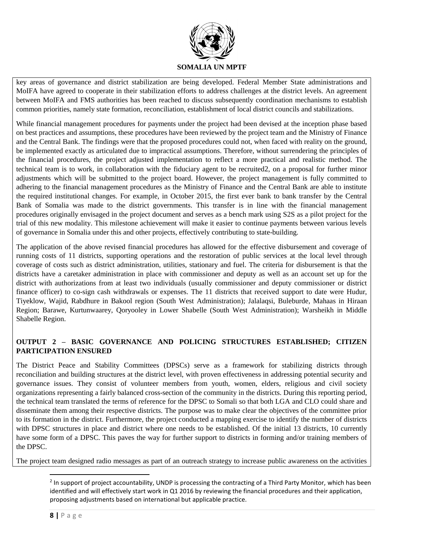

key areas of governance and district stabilization are being developed. Federal Member State administrations and MoIFA have agreed to cooperate in their stabilization efforts to address challenges at the district levels. An agreement between MoIFA and FMS authorities has been reached to discuss subsequently coordination mechanisms to establish common priorities, namely state formation, reconciliation, establishment of local district councils and stabilizations.

While financial management procedures for payments under the project had been devised at the inception phase based on best practices and assumptions, these procedures have been reviewed by the project team and the Ministry of Finance and the Central Bank. The findings were that the proposed procedures could not, when faced with reality on the ground, be implemented exactly as articulated due to impractical assumptions. Therefore, without surrendering the principles of the financial procedures, the project adjusted implementation to reflect a more practical and realistic method. The technical team is to work, in collaboration with the fiduciary agent to be recruited2, on a proposal for further minor adjustments which will be submitted to the project board. However, the project management is fully committed to adhering to the financial management procedures as the Ministry of Finance and the Central Bank are able to institute the required institutional changes. For example, in October 2015, the first ever bank to bank transfer by the Central Bank of Somalia was made to the district governments. This transfer is in line with the financial management procedures originally envisaged in the project document and serves as a bench mark using S2S as a pilot project for the trial of this new modality. This milestone achievement will make it easier to continue payments between various levels of governance in Somalia under this and other projects, effectively contributing to state-building.

The application of the above revised financial procedures has allowed for the effective disbursement and coverage of running costs of 11 districts, supporting operations and the restoration of public services at the local level through coverage of costs such as district administration, utilities, stationary and fuel. The criteria for disbursement is that the districts have a caretaker administration in place with commissioner and deputy as well as an account set up for the district with authorizations from at least two individuals (usually commissioner and deputy commissioner or district finance officer) to co-sign cash withdrawals or expenses. The 11 districts that received support to date were Hudur, Tiyeklow, Wajid, Rabdhure in Bakool region (South West Administration); Jalalaqsi, Buleburde, Mahaas in Hiraan Region; Barawe, Kurtunwaarey, Qoryooley in Lower Shabelle (South West Administration); Warsheikh in Middle Shabelle Region.

## **OUTPUT 2 – BASIC GOVERNANCE AND POLICING STRUCTURES ESTABLISHED; CITIZEN PARTICIPATION ENSURED**

The District Peace and Stability Committees (DPSCs) serve as a framework for stabilizing districts through reconciliation and building structures at the district level, with proven effectiveness in addressing potential security and governance issues. They consist of volunteer members from youth, women, elders, religious and civil society organizations representing a fairly balanced cross-section of the community in the districts. During this reporting period, the technical team translated the terms of reference for the DPSC to Somali so that both LGA and CLO could share and disseminate them among their respective districts. The purpose was to make clear the objectives of the committee prior to its formation in the district. Furthermore, the project conducted a mapping exercise to identify the number of districts with DPSC structures in place and district where one needs to be established. Of the initial 13 districts, 10 currently have some form of a DPSC. This paves the way for further support to districts in forming and/or training members of the DPSC.

The project team designed radio messages as part of an outreach strategy to increase public awareness on the activities

 $\overline{\phantom{a}}$ 

<sup>&</sup>lt;sup>2</sup> In support of project accountability, UNDP is processing the contracting of a Third Party Monitor, which has been identified and will effectively start work in Q1 2016 by reviewing the financial procedures and their application, proposing adjustments based on international but applicable practice.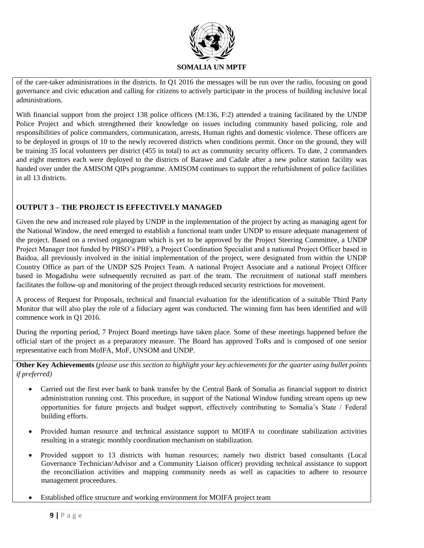

of the care-taker administrations in the districts. In Q1 2016 the messages will be run over the radio, focusing on good governance and civic education and calling for citizens to actively participate in the process of building inclusive local administrations.

With financial support from the project 138 police officers (M:136, F:2) attended a training facilitated by the UNDP Police Project and which strengthened their knowledge on issues including community based policing, role and responsibilities of police commanders, communication, arrests, Human rights and domestic violence. These officers are to be deployed in groups of 10 to the newly recovered districts when conditions permit. Once on the ground, they will be training 35 local volunteers per district (455 in total) to act as community security officers. To date, 2 commanders and eight mentors each were deployed to the districts of Barawe and Cadale after a new police station facility was handed over under the AMISOM QIPs programme. AMISOM continues to support the refurbishment of police facilities in all 13 districts.

## **OUTPUT 3 – THE PROJECT IS EFFECTIVELY MANAGED**

Given the new and increased role played by UNDP in the implementation of the project by acting as managing agent for the National Window, the need emerged to establish a functional team under UNDP to ensure adequate management of the project. Based on a revised organogram which is yet to be approved by the Project Steering Committee, a UNDP Project Manager (not funded by PBSO's PBF), a Project Coordination Specialist and a national Project Officer based in Baidoa, all previously involved in the initial implementation of the project, were designated from within the UNDP Country Office as part of the UNDP S2S Project Team. A national Project Associate and a national Project Officer based in Mogadishu were subsequently recruited as part of the team. The recruitment of national staff members facilitates the follow-up and monitoring of the project through reduced security restrictions for movement.

A process of Request for Proposals, technical and financial evaluation for the identification of a suitable Third Party Monitor that will also play the role of a fiduciary agent was conducted. The winning firm has been identified and will commence work in Q1 2016.

During the reporting period, 7 Project Board meetings have taken place. Some of these meetings happened before the official start of the project as a preparatory measure. The Board has approved ToRs and is composed of one senior representative each from MoIFA, MoF, UNSOM and UNDP.

**Other Key Achievements** (*please use this section to highlight your key achievements for the quarter using bullet points if preferred)* 

- Carried out the first ever bank to bank transfer by the Central Bank of Somalia as financial support to district administration running cost. This procedure, in support of the National Window funding stream opens up new opportunities for future projects and budget support, effectively contributing to Somalia's State / Federal building efforts.
- Provided human resource and technical assistance support to MOIFA to coordinate stabilization activities resulting in a strategic monthly coordination mechanism on stabilization.
- Provided support to 13 districts with human resources; namely two district based consultants (Local Governance Technician/Advisor and a Community Liaison officer) providing technical assistance to support the reconciliation activities and mapping community needs as well as capacities to adhere to resource management proceedures.
- Established office structure and working environment for MOIFA project team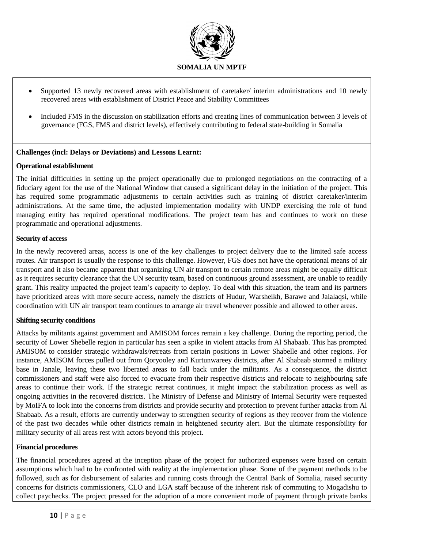

- Supported 13 newly recovered areas with establishment of caretaker/ interim administrations and 10 newly recovered areas with establishment of District Peace and Stability Committees
- Included FMS in the discussion on stabilization efforts and creating lines of communication between 3 levels of governance (FGS, FMS and district levels), effectively contributing to federal state-building in Somalia

### **Challenges (incl: Delays or Deviations) and Lessons Learnt:**

### **Operational establishment**

The initial difficulties in setting up the project operationally due to prolonged negotiations on the contracting of a fiduciary agent for the use of the National Window that caused a significant delay in the initiation of the project. This has required some programmatic adjustments to certain activities such as training of district caretaker/interim administrations. At the same time, the adjusted implementation modality with UNDP exercising the role of fund managing entity has required operational modifications. The project team has and continues to work on these programmatic and operational adjustments.

#### **Security of access**

In the newly recovered areas, access is one of the key challenges to project delivery due to the limited safe access routes. Air transport is usually the response to this challenge. However, FGS does not have the operational means of air transport and it also became apparent that organizing UN air transport to certain remote areas might be equally difficult as it requires security clearance that the UN security team, based on continuous ground assessment, are unable to readily grant. This reality impacted the project team's capacity to deploy. To deal with this situation, the team and its partners have prioritized areas with more secure access, namely the districts of Hudur, Warsheikh, Barawe and Jalalaqsi, while coordination with UN air transport team continues to arrange air travel whenever possible and allowed to other areas.

#### **Shifting security conditions**

Attacks by militants against government and AMISOM forces remain a key challenge. During the reporting period, the security of Lower Shebelle region in particular has seen a spike in violent attacks from Al Shabaab. This has prompted AMISOM to consider strategic withdrawals/retreats from certain positions in Lower Shabelle and other regions. For instance, AMISOM forces pulled out from Qoryooley and Kurtunwareey districts, after Al Shabaab stormed a military base in Janale, leaving these two liberated areas to fall back under the militants. As a consequence, the district commissioners and staff were also forced to evacuate from their respective districts and relocate to neighbouring safe areas to continue their work. If the strategic retreat continues, it might impact the stabilization process as well as ongoing activities in the recovered districts. The Ministry of Defense and Ministry of Internal Security were requested by MoIFA to look into the concerns from districts and provide security and protection to prevent further attacks from Al Shabaab. As a result, efforts are currently underway to strengthen security of regions as they recover from the violence of the past two decades while other districts remain in heightened security alert. But the ultimate responsibility for military security of all areas rest with actors beyond this project.

#### **Financial procedures**

The financial procedures agreed at the inception phase of the project for authorized expenses were based on certain assumptions which had to be confronted with reality at the implementation phase. Some of the payment methods to be followed, such as for disbursement of salaries and running costs through the Central Bank of Somalia, raised security concerns for districts commissioners, CLO and LGA staff because of the inherent risk of commuting to Mogadishu to collect paychecks. The project pressed for the adoption of a more convenient mode of payment through private banks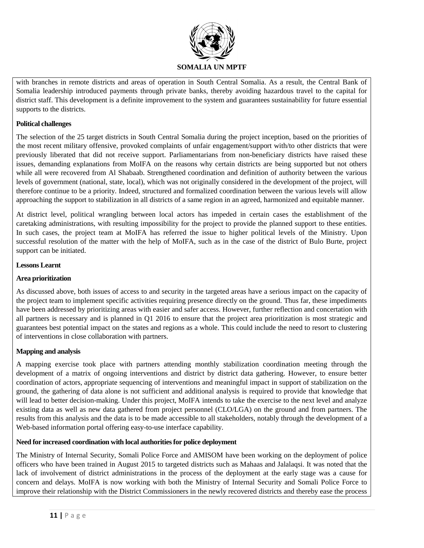

with branches in remote districts and areas of operation in South Central Somalia. As a result, the Central Bank of Somalia leadership introduced payments through private banks, thereby avoiding hazardous travel to the capital for district staff. This development is a definite improvement to the system and guarantees sustainability for future essential supports to the districts.

### **Political challenges**

The selection of the 25 target districts in South Central Somalia during the project inception, based on the priorities of the most recent military offensive, provoked complaints of unfair engagement/support with/to other districts that were previously liberated that did not receive support. Parliamentarians from non-beneficiary districts have raised these issues, demanding explanations from MoIFA on the reasons why certain districts are being supported but not others while all were recovered from Al Shabaab. Strengthened coordination and definition of authority between the various levels of government (national, state, local), which was not originally considered in the development of the project, will therefore continue to be a priority. Indeed, structured and formalized coordination between the various levels will allow approaching the support to stabilization in all districts of a same region in an agreed, harmonized and equitable manner.

At district level, political wrangling between local actors has impeded in certain cases the establishment of the caretaking administrations, with resulting impossibility for the project to provide the planned support to these entities. In such cases, the project team at MoIFA has referred the issue to higher political levels of the Ministry. Upon successful resolution of the matter with the help of MoIFA, such as in the case of the district of Bulo Burte, project support can be initiated.

### **Lessons Learnt**

### **Area prioritization**

As discussed above, both issues of access to and security in the targeted areas have a serious impact on the capacity of the project team to implement specific activities requiring presence directly on the ground. Thus far, these impediments have been addressed by prioritizing areas with easier and safer access. However, further reflection and concertation with all partners is necessary and is planned in Q1 2016 to ensure that the project area prioritization is most strategic and guarantees best potential impact on the states and regions as a whole. This could include the need to resort to clustering of interventions in close collaboration with partners.

### **Mapping and analysis**

A mapping exercise took place with partners attending monthly stabilization coordination meeting through the development of a matrix of ongoing interventions and district by district data gathering. However, to ensure better coordination of actors, appropriate sequencing of interventions and meaningful impact in support of stabilization on the ground, the gathering of data alone is not sufficient and additional analysis is required to provide that knowledge that will lead to better decision-making. Under this project, MoIFA intends to take the exercise to the next level and analyze existing data as well as new data gathered from project personnel (CLO/LGA) on the ground and from partners. The results from this analysis and the data is to be made accessible to all stakeholders, notably through the development of a Web-based information portal offering easy-to-use interface capability.

#### **Need for increased coordination with local authorities for police deployment**

The Ministry of Internal Security, Somali Police Force and AMISOM have been working on the deployment of police officers who have been trained in August 2015 to targeted districts such as Mahaas and Jalalaqsi. It was noted that the lack of involvement of district administrations in the process of the deployment at the early stage was a cause for concern and delays. MoIFA is now working with both the Ministry of Internal Security and Somali Police Force to improve their relationship with the District Commissioners in the newly recovered districts and thereby ease the process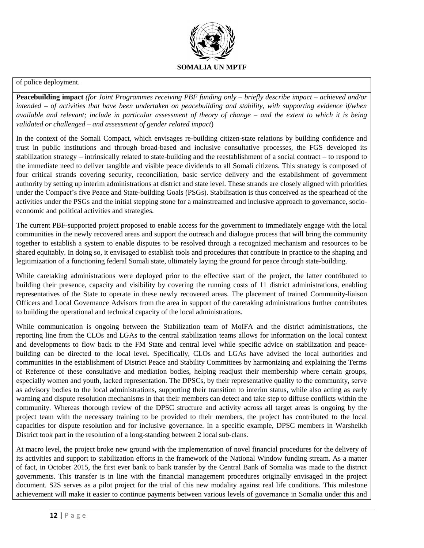

#### of police deployment.

**Peacebuilding impact** *(for Joint Programmes receiving PBF funding only – briefly describe impact – achieved and/or intended – of activities that have been undertaken on peacebuilding and stability, with supporting evidence if/when available and relevant; include in particular assessment of theory of change – and the extent to which it is being validated or challenged – and assessment of gender related impact*)

In the context of the Somali Compact, which envisages re-building citizen-state relations by building confidence and trust in public institutions and through broad-based and inclusive consultative processes, the FGS developed its stabilization strategy – intrinsically related to state-building and the reestablishment of a social contract – to respond to the immediate need to deliver tangible and visible peace dividends to all Somali citizens. This strategy is composed of four critical strands covering security, reconciliation, basic service delivery and the establishment of government authority by setting up interim administrations at district and state level. These strands are closely aligned with priorities under the Compact's five Peace and State-building Goals (PSGs). Stabilisation is thus conceived as the spearhead of the activities under the PSGs and the initial stepping stone for a mainstreamed and inclusive approach to governance, socioeconomic and political activities and strategies.

The current PBF-supported project proposed to enable access for the government to immediately engage with the local communities in the newly recovered areas and support the outreach and dialogue process that will bring the community together to establish a system to enable disputes to be resolved through a recognized mechanism and resources to be shared equitably. In doing so, it envisaged to establish tools and procedures that contribute in practice to the shaping and legitimization of a functioning federal Somali state, ultimately laying the ground for peace through state-building.

While caretaking administrations were deployed prior to the effective start of the project, the latter contributed to building their presence, capacity and visibility by covering the running costs of 11 district administrations, enabling representatives of the State to operate in these newly recovered areas. The placement of trained Community-liaison Officers and Local Governance Advisors from the area in support of the caretaking administrations further contributes to building the operational and technical capacity of the local administrations.

While communication is ongoing between the Stabilization team of MoIFA and the district administrations, the reporting line from the CLOs and LGAs to the central stabilization teams allows for information on the local context and developments to flow back to the FM State and central level while specific advice on stabilization and peacebuilding can be directed to the local level. Specifically, CLOs and LGAs have advised the local authorities and communities in the establishment of District Peace and Stability Committees by harmonizing and explaining the Terms of Reference of these consultative and mediation bodies, helping readjust their membership where certain groups, especially women and youth, lacked representation. The DPSCs, by their representative quality to the community, serve as advisory bodies to the local administrations, supporting their transition to interim status, while also acting as early warning and dispute resolution mechanisms in that their members can detect and take step to diffuse conflicts within the community. Whereas thorough review of the DPSC structure and activity across all target areas is ongoing by the project team with the necessary training to be provided to their members, the project has contributed to the local capacities for dispute resolution and for inclusive governance. In a specific example, DPSC members in Warsheikh District took part in the resolution of a long-standing between 2 local sub-clans.

At macro level, the project broke new ground with the implementation of novel financial procedures for the delivery of its activities and support to stabilization efforts in the framework of the National Window funding stream. As a matter of fact, in October 2015, the first ever bank to bank transfer by the Central Bank of Somalia was made to the district governments. This transfer is in line with the financial management procedures originally envisaged in the project document. S2S serves as a pilot project for the trial of this new modality against real life conditions. This milestone achievement will make it easier to continue payments between various levels of governance in Somalia under this and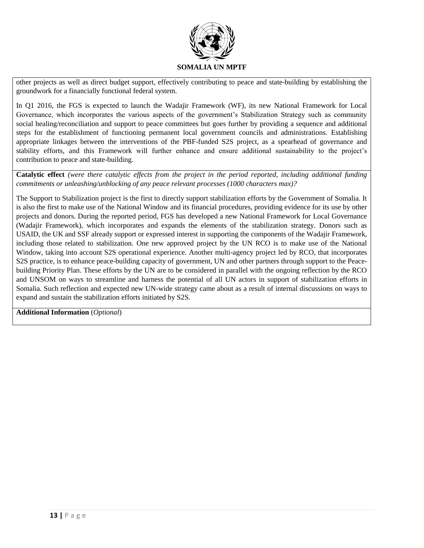

other projects as well as direct budget support, effectively contributing to peace and state-building by establishing the groundwork for a financially functional federal system.

In Q1 2016, the FGS is expected to launch the Wadajir Framework (WF), its new National Framework for Local Governance, which incorporates the various aspects of the government's Stabilization Strategy such as community social healing/reconciliation and support to peace committees but goes further by providing a sequence and additional steps for the establishment of functioning permanent local government councils and administrations. Establishing appropriate linkages between the interventions of the PBF-funded S2S project, as a spearhead of governance and stability efforts, and this Framework will further enhance and ensure additional sustainability to the project's contribution to peace and state-building.

**Catalytic effect** *(were there catalytic effects from the project in the period reported, including additional funding commitments or unleashing/unblocking of any peace relevant processes (1000 characters max)?*

The Support to Stabilization project is the first to directly support stabilization efforts by the Government of Somalia. It is also the first to make use of the National Window and its financial procedures, providing evidence for its use by other projects and donors. During the reported period, FGS has developed a new National Framework for Local Governance (Wadajir Framework), which incorporates and expands the elements of the stabilization strategy. Donors such as USAID, the UK and SSF already support or expressed interest in supporting the components of the Wadajir Framework, including those related to stabilization. One new approved project by the UN RCO is to make use of the National Window, taking into account S2S operational experience. Another multi-agency project led by RCO, that incorporates S2S practice, is to enhance peace-building capacity of government, UN and other partners through support to the Peacebuilding Priority Plan. These efforts by the UN are to be considered in parallel with the ongoing reflection by the RCO and UNSOM on ways to streamline and harness the potential of all UN actors in support of stabilization efforts in Somalia. Such reflection and expected new UN-wide strategy came about as a result of internal discussions on ways to expand and sustain the stabilization efforts initiated by S2S.

**Additional Information** (*Optional*)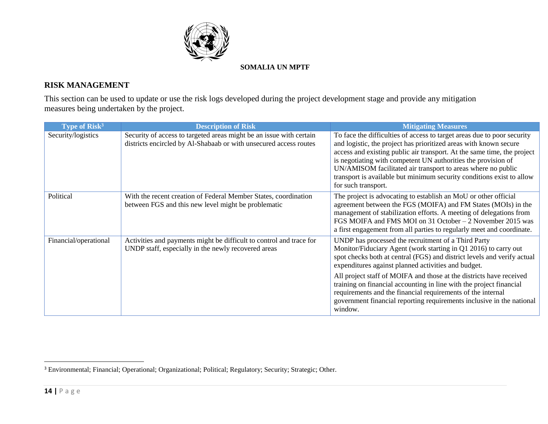

# **RISK MANAGEMENT**

This section can be used to update or use the risk logs developed during the project development stage and provide any mitigation measures being undertaken by the project.

| <b>Description of Risk</b>                                                                                                               | <b>Mitigating Measures</b>                                                                                                                                                                                                                                                                                                                                                                                                                                                                                                                     |
|------------------------------------------------------------------------------------------------------------------------------------------|------------------------------------------------------------------------------------------------------------------------------------------------------------------------------------------------------------------------------------------------------------------------------------------------------------------------------------------------------------------------------------------------------------------------------------------------------------------------------------------------------------------------------------------------|
| Security of access to targeted areas might be an issue with certain<br>districts encircled by Al-Shabaab or with unsecured access routes | To face the difficulties of access to target areas due to poor security<br>and logistic, the project has prioritized areas with known secure<br>access and existing public air transport. At the same time, the project<br>is negotiating with competent UN authorities the provision of<br>UN/AMISOM facilitated air transport to areas where no public<br>transport is available but minimum security conditions exist to allow<br>for such transport.                                                                                       |
| With the recent creation of Federal Member States, coordination<br>between FGS and this new level might be problematic                   | The project is advocating to establish an MoU or other official<br>agreement between the FGS (MOIFA) and FM States (MOIs) in the<br>management of stabilization efforts. A meeting of delegations from<br>FGS MOIFA and FMS MOI on 31 October – 2 November 2015 was<br>a first engagement from all parties to regularly meet and coordinate.                                                                                                                                                                                                   |
| Activities and payments might be difficult to control and trace for<br>UNDP staff, especially in the newly recovered areas               | UNDP has processed the recruitment of a Third Party<br>Monitor/Fiduciary Agent (work starting in Q1 2016) to carry out<br>spot checks both at central (FGS) and district levels and verify actual<br>expenditures against planned activities and budget.<br>All project staff of MOIFA and those at the districts have received<br>training on financial accounting in line with the project financial<br>requirements and the financial requirements of the internal<br>government financial reporting requirements inclusive in the national |
|                                                                                                                                          |                                                                                                                                                                                                                                                                                                                                                                                                                                                                                                                                                |

 $\overline{a}$ 

<sup>&</sup>lt;sup>3</sup> Environmental; Financial; Operational; Organizational; Political; Regulatory; Security; Strategic; Other.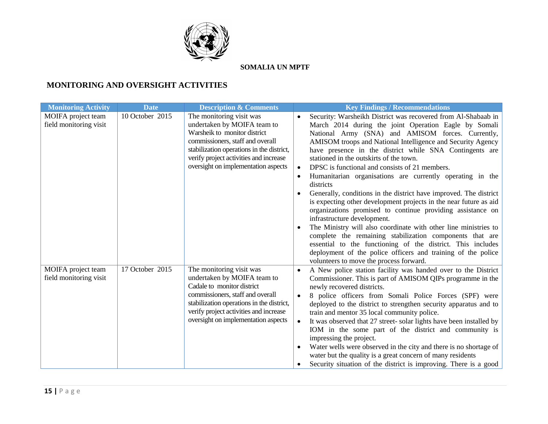

# **MONITORING AND OVERSIGHT ACTIVITIES**

| <b>Monitoring Activity</b>                   | <b>Date</b>     | <b>Description &amp; Comments</b>                                                                                                                                                                                                                         | <b>Key Findings / Recommendations</b>                                                                                                                                                                                                                                                                                                                                                                                                                                                                                                                                                                                                                                                                                                                                                                                                                                                                                                                                                                                                     |
|----------------------------------------------|-----------------|-----------------------------------------------------------------------------------------------------------------------------------------------------------------------------------------------------------------------------------------------------------|-------------------------------------------------------------------------------------------------------------------------------------------------------------------------------------------------------------------------------------------------------------------------------------------------------------------------------------------------------------------------------------------------------------------------------------------------------------------------------------------------------------------------------------------------------------------------------------------------------------------------------------------------------------------------------------------------------------------------------------------------------------------------------------------------------------------------------------------------------------------------------------------------------------------------------------------------------------------------------------------------------------------------------------------|
| MOIFA project team<br>field monitoring visit | 10 October 2015 | The monitoring visit was<br>undertaken by MOIFA team to<br>Warsheik to monitor district<br>commissioners, staff and overall<br>stabilization operations in the district,<br>verify project activities and increase<br>oversight on implementation aspects | Security: Warsheikh District was recovered from Al-Shabaab in<br>March 2014 during the joint Operation Eagle by Somali<br>National Army (SNA) and AMISOM forces. Currently,<br>AMISOM troops and National Intelligence and Security Agency<br>have presence in the district while SNA Contingents are<br>stationed in the outskirts of the town.<br>DPSC is functional and consists of 21 members.<br>Humanitarian organisations are currently operating in the<br>districts<br>Generally, conditions in the district have improved. The district<br>$\bullet$<br>is expecting other development projects in the near future as aid<br>organizations promised to continue providing assistance on<br>infrastructure development.<br>The Ministry will also coordinate with other line ministries to<br>complete the remaining stabilization components that are<br>essential to the functioning of the district. This includes<br>deployment of the police officers and training of the police<br>volunteers to move the process forward. |
| MOIFA project team<br>field monitoring visit | 17 October 2015 | The monitoring visit was<br>undertaken by MOIFA team to<br>Cadale to monitor district<br>commissioners, staff and overall<br>stabilization operations in the district,<br>verify project activities and increase<br>oversight on implementation aspects   | A New police station facility was handed over to the District<br>Commissioner. This is part of AMISOM QIPs programme in the<br>newly recovered districts.<br>8 police officers from Somali Police Forces (SPF) were<br>$\bullet$<br>deployed to the district to strengthen security apparatus and to<br>train and mentor 35 local community police.<br>It was observed that 27 street- solar lights have been installed by<br>$\bullet$<br>IOM in the some part of the district and community is<br>impressing the project.<br>Water wells were observed in the city and there is no shortage of<br>water but the quality is a great concern of many residents<br>Security situation of the district is improving. There is a good                                                                                                                                                                                                                                                                                                        |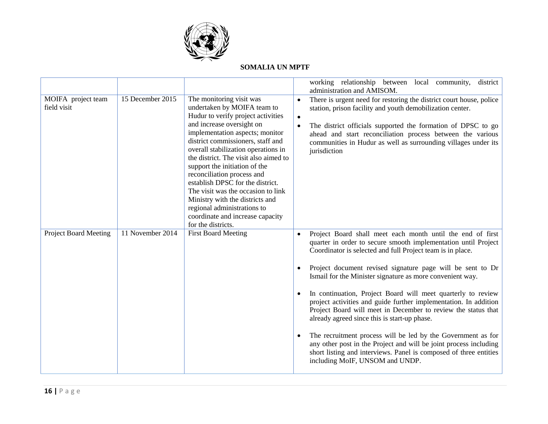

|                                   |                  |                                                                                                                                                                                                                                                                                                                                                                                                                                                                                                                                                         |                                     | working relationship between local community,<br>district<br>administration and AMISOM.                                                                                                                                                                                                                                                                                                                                                                                                                                                                                                                                                                                                                                                                                                                                 |
|-----------------------------------|------------------|---------------------------------------------------------------------------------------------------------------------------------------------------------------------------------------------------------------------------------------------------------------------------------------------------------------------------------------------------------------------------------------------------------------------------------------------------------------------------------------------------------------------------------------------------------|-------------------------------------|-------------------------------------------------------------------------------------------------------------------------------------------------------------------------------------------------------------------------------------------------------------------------------------------------------------------------------------------------------------------------------------------------------------------------------------------------------------------------------------------------------------------------------------------------------------------------------------------------------------------------------------------------------------------------------------------------------------------------------------------------------------------------------------------------------------------------|
| MOIFA project team<br>field visit | 15 December 2015 | The monitoring visit was<br>undertaken by MOIFA team to<br>Hudur to verify project activities<br>and increase oversight on<br>implementation aspects; monitor<br>district commissioners, staff and<br>overall stabilization operations in<br>the district. The visit also aimed to<br>support the initiation of the<br>reconciliation process and<br>establish DPSC for the district.<br>The visit was the occasion to link<br>Ministry with the districts and<br>regional administrations to<br>coordinate and increase capacity<br>for the districts. | $\bullet$<br>$\bullet$<br>$\bullet$ | There is urgent need for restoring the district court house, police<br>station, prison facility and youth demobilization center.<br>The district officials supported the formation of DPSC to go<br>ahead and start reconciliation process between the various<br>communities in Hudur as well as surrounding villages under its<br>jurisdiction                                                                                                                                                                                                                                                                                                                                                                                                                                                                        |
| <b>Project Board Meeting</b>      | 11 November 2014 | <b>First Board Meeting</b>                                                                                                                                                                                                                                                                                                                                                                                                                                                                                                                              | $\bullet$                           | Project Board shall meet each month until the end of first<br>quarter in order to secure smooth implementation until Project<br>Coordinator is selected and full Project team is in place.<br>Project document revised signature page will be sent to Dr<br>Ismail for the Minister signature as more convenient way.<br>In continuation, Project Board will meet quarterly to review<br>project activities and guide further implementation. In addition<br>Project Board will meet in December to review the status that<br>already agreed since this is start-up phase.<br>The recruitment process will be led by the Government as for<br>any other post in the Project and will be joint process including<br>short listing and interviews. Panel is composed of three entities<br>including MoIF, UNSOM and UNDP. |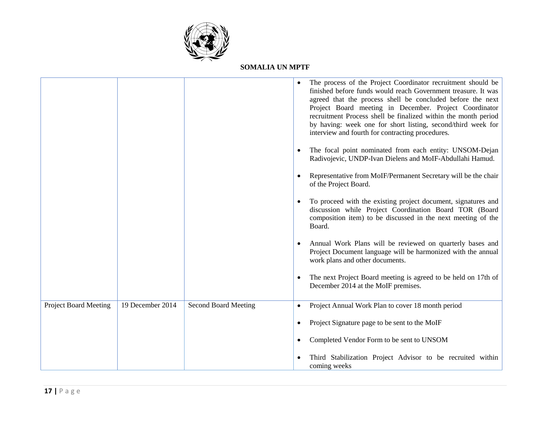

|                              |                  |                             | The process of the Project Coordinator recruitment should be<br>finished before funds would reach Government treasure. It was<br>agreed that the process shell be concluded before the next<br>Project Board meeting in December. Project Coordinator<br>recruitment Process shell be finalized within the month period<br>by having: week one for short listing, second/third week for<br>interview and fourth for contracting procedures. |
|------------------------------|------------------|-----------------------------|---------------------------------------------------------------------------------------------------------------------------------------------------------------------------------------------------------------------------------------------------------------------------------------------------------------------------------------------------------------------------------------------------------------------------------------------|
|                              |                  |                             | The focal point nominated from each entity: UNSOM-Dejan<br>Radivojevic, UNDP-Ivan Dielens and MoIF-Abdullahi Hamud.                                                                                                                                                                                                                                                                                                                         |
|                              |                  |                             | Representative from MoIF/Permanent Secretary will be the chair<br>of the Project Board.                                                                                                                                                                                                                                                                                                                                                     |
|                              |                  |                             | To proceed with the existing project document, signatures and<br>discussion while Project Coordination Board TOR (Board<br>composition item) to be discussed in the next meeting of the<br>Board.                                                                                                                                                                                                                                           |
|                              |                  |                             | Annual Work Plans will be reviewed on quarterly bases and<br>Project Document language will be harmonized with the annual<br>work plans and other documents.                                                                                                                                                                                                                                                                                |
|                              |                  |                             | The next Project Board meeting is agreed to be held on 17th of<br>December 2014 at the MoIF premises.                                                                                                                                                                                                                                                                                                                                       |
| <b>Project Board Meeting</b> | 19 December 2014 | <b>Second Board Meeting</b> | Project Annual Work Plan to cover 18 month period                                                                                                                                                                                                                                                                                                                                                                                           |
|                              |                  |                             | Project Signature page to be sent to the MoIF                                                                                                                                                                                                                                                                                                                                                                                               |
|                              |                  |                             | Completed Vendor Form to be sent to UNSOM                                                                                                                                                                                                                                                                                                                                                                                                   |
|                              |                  |                             | Third Stabilization Project Advisor to be recruited within<br>coming weeks                                                                                                                                                                                                                                                                                                                                                                  |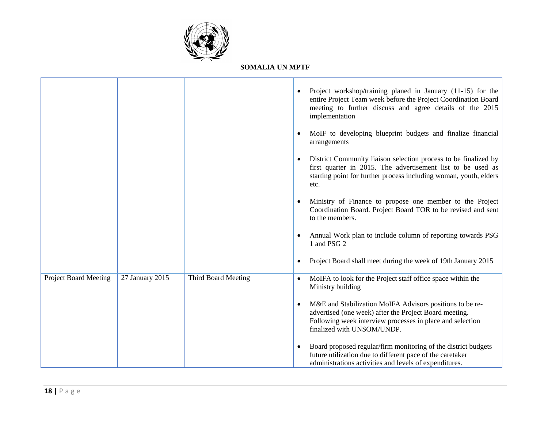

|                              |                 |                     |           | Project workshop/training planed in January (11-15) for the<br>entire Project Team week before the Project Coordination Board<br>meeting to further discuss and agree details of the 2015<br>implementation   |
|------------------------------|-----------------|---------------------|-----------|---------------------------------------------------------------------------------------------------------------------------------------------------------------------------------------------------------------|
|                              |                 |                     |           | MoIF to developing blueprint budgets and finalize financial<br>arrangements                                                                                                                                   |
|                              |                 |                     |           | District Community liaison selection process to be finalized by<br>first quarter in 2015. The advertisement list to be used as<br>starting point for further process including woman, youth, elders<br>etc.   |
|                              |                 |                     |           | Ministry of Finance to propose one member to the Project<br>Coordination Board. Project Board TOR to be revised and sent<br>to the members.                                                                   |
|                              |                 |                     |           | Annual Work plan to include column of reporting towards PSG<br>1 and PSG 2                                                                                                                                    |
|                              |                 |                     |           | Project Board shall meet during the week of 19th January 2015                                                                                                                                                 |
| <b>Project Board Meeting</b> | 27 January 2015 | Third Board Meeting | $\bullet$ | MoIFA to look for the Project staff office space within the<br>Ministry building                                                                                                                              |
|                              |                 |                     | $\bullet$ | M&E and Stabilization MoIFA Advisors positions to be re-<br>advertised (one week) after the Project Board meeting.<br>Following week interview processes in place and selection<br>finalized with UNSOM/UNDP. |
|                              |                 |                     |           | Board proposed regular/firm monitoring of the district budgets<br>future utilization due to different pace of the caretaker<br>administrations activities and levels of expenditures.                         |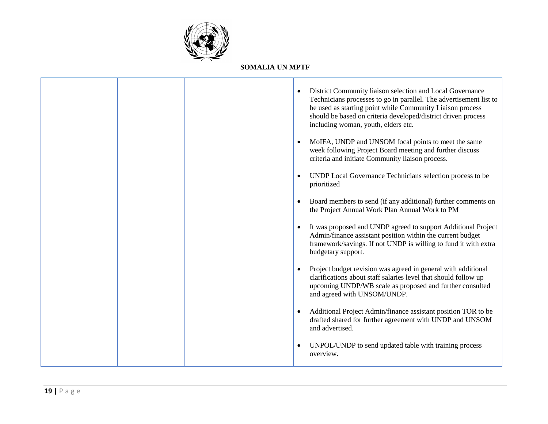

|  |           | District Community liaison selection and Local Governance<br>Technicians processes to go in parallel. The advertisement list to<br>be used as starting point while Community Liaison process<br>should be based on criteria developed/district driven process<br>including woman, youth, elders etc. |
|--|-----------|------------------------------------------------------------------------------------------------------------------------------------------------------------------------------------------------------------------------------------------------------------------------------------------------------|
|  |           | MoIFA, UNDP and UNSOM focal points to meet the same<br>week following Project Board meeting and further discuss<br>criteria and initiate Community liaison process.                                                                                                                                  |
|  |           | UNDP Local Governance Technicians selection process to be<br>prioritized                                                                                                                                                                                                                             |
|  |           | Board members to send (if any additional) further comments on<br>the Project Annual Work Plan Annual Work to PM                                                                                                                                                                                      |
|  |           | It was proposed and UNDP agreed to support Additional Project<br>Admin/finance assistant position within the current budget<br>framework/savings. If not UNDP is willing to fund it with extra<br>budgetary support.                                                                                 |
|  |           | Project budget revision was agreed in general with additional<br>clarifications about staff salaries level that should follow up<br>upcoming UNDP/WB scale as proposed and further consulted<br>and agreed with UNSOM/UNDP.                                                                          |
|  |           | Additional Project Admin/finance assistant position TOR to be<br>drafted shared for further agreement with UNDP and UNSOM<br>and advertised.                                                                                                                                                         |
|  | $\bullet$ | UNPOL/UNDP to send updated table with training process<br>overview.                                                                                                                                                                                                                                  |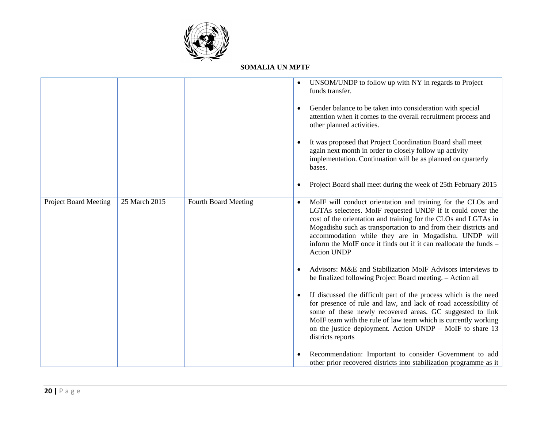

|                              |               |                      | $\bullet$ | UNSOM/UNDP to follow up with NY in regards to Project<br>funds transfer.<br>Gender balance to be taken into consideration with special<br>attention when it comes to the overall recruitment process and<br>other planned activities.<br>It was proposed that Project Coordination Board shall meet<br>again next month in order to closely follow up activity<br>implementation. Continuation will be as planned on quarterly<br>bases.<br>Project Board shall meet during the week of 25th February 2015 |
|------------------------------|---------------|----------------------|-----------|------------------------------------------------------------------------------------------------------------------------------------------------------------------------------------------------------------------------------------------------------------------------------------------------------------------------------------------------------------------------------------------------------------------------------------------------------------------------------------------------------------|
| <b>Project Board Meeting</b> | 25 March 2015 | Fourth Board Meeting | $\bullet$ | MoIF will conduct orientation and training for the CLOs and<br>LGTAs selectees. MoIF requested UNDP if it could cover the<br>cost of the orientation and training for the CLOs and LGTAs in<br>Mogadishu such as transportation to and from their districts and<br>accommodation while they are in Mogadishu. UNDP will<br>inform the MoIF once it finds out if it can reallocate the funds -<br><b>Action UNDP</b>                                                                                        |
|                              |               |                      |           | Advisors: M&E and Stabilization MoIF Advisors interviews to<br>be finalized following Project Board meeting. - Action all                                                                                                                                                                                                                                                                                                                                                                                  |
|                              |               |                      |           | IJ discussed the difficult part of the process which is the need<br>for presence of rule and law, and lack of road accessibility of<br>some of these newly recovered areas. GC suggested to link<br>MoIF team with the rule of law team which is currently working<br>on the justice deployment. Action UNDP - MoIF to share 13<br>districts reports                                                                                                                                                       |
|                              |               |                      |           | Recommendation: Important to consider Government to add<br>other prior recovered districts into stabilization programme as it                                                                                                                                                                                                                                                                                                                                                                              |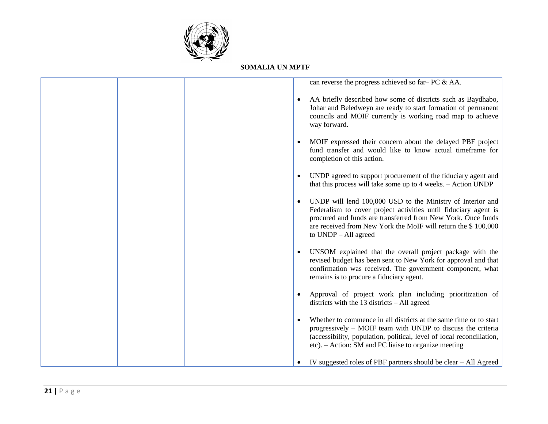

|           | can reverse the progress achieved so far-PC & AA.                                                                                                                                                                                                                                      |
|-----------|----------------------------------------------------------------------------------------------------------------------------------------------------------------------------------------------------------------------------------------------------------------------------------------|
| $\bullet$ | AA briefly described how some of districts such as Baydhabo,<br>Johar and Beledweyn are ready to start formation of permanent<br>councils and MOIF currently is working road map to achieve<br>way forward.                                                                            |
| $\bullet$ | MOIF expressed their concern about the delayed PBF project<br>fund transfer and would like to know actual timeframe for<br>completion of this action.                                                                                                                                  |
| $\bullet$ | UNDP agreed to support procurement of the fiduciary agent and<br>that this process will take some up to 4 weeks. – Action UNDP                                                                                                                                                         |
| $\bullet$ | UNDP will lend 100,000 USD to the Ministry of Interior and<br>Federalism to cover project activities until fiduciary agent is<br>procured and funds are transferred from New York. Once funds<br>are received from New York the MoIF will return the \$100,000<br>to UNDP - All agreed |
|           | UNSOM explained that the overall project package with the<br>revised budget has been sent to New York for approval and that<br>confirmation was received. The government component, what<br>remains is to procure a fiduciary agent.                                                   |
|           | Approval of project work plan including prioritization of<br>districts with the $13$ districts $-$ All agreed                                                                                                                                                                          |
| $\bullet$ | Whether to commence in all districts at the same time or to start<br>progressively – MOIF team with UNDP to discuss the criteria<br>(accessibility, population, political, level of local reconciliation,<br>etc). - Action: SM and PC liaise to organize meeting                      |
|           | IV suggested roles of PBF partners should be clear – All Agreed                                                                                                                                                                                                                        |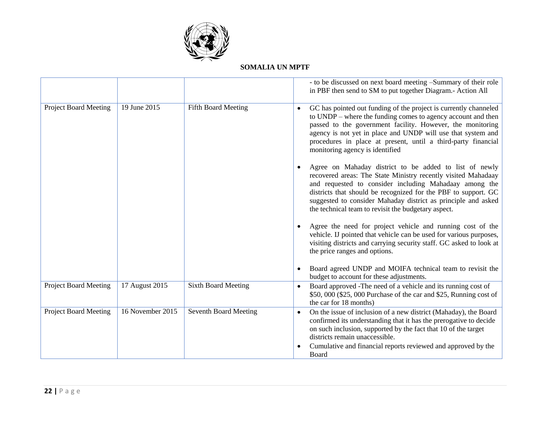

|                              |                  |                              | - to be discussed on next board meeting -Summary of their role<br>in PBF then send to SM to put together Diagram.- Action All                                                                                                                                                                                                                                               |
|------------------------------|------------------|------------------------------|-----------------------------------------------------------------------------------------------------------------------------------------------------------------------------------------------------------------------------------------------------------------------------------------------------------------------------------------------------------------------------|
| <b>Project Board Meeting</b> | 19 June 2015     | Fifth Board Meeting          | GC has pointed out funding of the project is currently channeled<br>to UNDP – where the funding comes to agency account and then<br>passed to the government facility. However, the monitoring<br>agency is not yet in place and UNDP will use that system and<br>procedures in place at present, until a third-party financial<br>monitoring agency is identified          |
|                              |                  |                              | Agree on Mahaday district to be added to list of newly<br>recovered areas: The State Ministry recently visited Mahadaay<br>and requested to consider including Mahadaay among the<br>districts that should be recognized for the PBF to support. GC<br>suggested to consider Mahaday district as principle and asked<br>the technical team to revisit the budgetary aspect. |
|                              |                  |                              | Agree the need for project vehicle and running cost of the<br>vehicle. IJ pointed that vehicle can be used for various purposes,<br>visiting districts and carrying security staff. GC asked to look at<br>the price ranges and options.                                                                                                                                    |
|                              |                  |                              | Board agreed UNDP and MOIFA technical team to revisit the<br>budget to account for these adjustments.                                                                                                                                                                                                                                                                       |
| <b>Project Board Meeting</b> | 17 August 2015   | <b>Sixth Board Meeting</b>   | Board approved -The need of a vehicle and its running cost of<br>$\bullet$<br>\$50,000 (\$25,000 Purchase of the car and \$25, Running cost of<br>the car for 18 months)                                                                                                                                                                                                    |
| <b>Project Board Meeting</b> | 16 November 2015 | <b>Seventh Board Meeting</b> | On the issue of inclusion of a new district (Mahaday), the Board<br>$\bullet$<br>confirmed its understanding that it has the prerogative to decide<br>on such inclusion, supported by the fact that 10 of the target<br>districts remain unaccessible.                                                                                                                      |
|                              |                  |                              | Cumulative and financial reports reviewed and approved by the<br>Board                                                                                                                                                                                                                                                                                                      |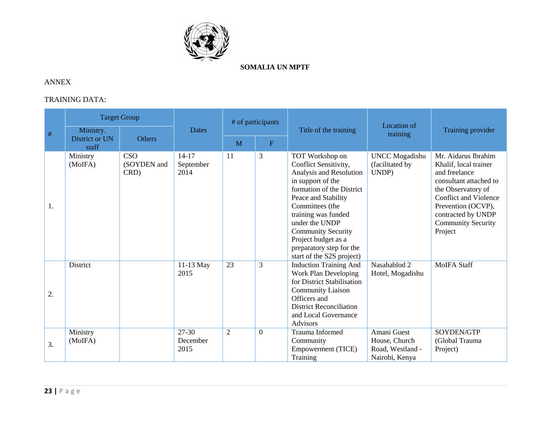

# ANNEX

# TRAINING DATA:

| $\#$ | <b>Target Group</b>                  |                                   |                                | # of participants |          |                                                                                                                                                                                                                                                                                                                       |                                                                    |                                                                                                                                                                                                                                   |
|------|--------------------------------------|-----------------------------------|--------------------------------|-------------------|----------|-----------------------------------------------------------------------------------------------------------------------------------------------------------------------------------------------------------------------------------------------------------------------------------------------------------------------|--------------------------------------------------------------------|-----------------------------------------------------------------------------------------------------------------------------------------------------------------------------------------------------------------------------------|
|      | Ministry.<br>District or UN<br>staff | <b>Others</b>                     | <b>Dates</b>                   | F<br>M            |          | Title of the training                                                                                                                                                                                                                                                                                                 | Location of<br>training                                            | Training provider                                                                                                                                                                                                                 |
| 1.   | Ministry<br>(MoIFA)                  | <b>CSO</b><br>(SOYDEN and<br>CRD) | $14 - 17$<br>September<br>2014 | 11                | 3        | TOT Workshop on<br>Conflict Sensitivity,<br>Analysis and Resolution<br>in support of the<br>formation of the District<br>Peace and Stability<br>Committees (the<br>training was funded<br>under the UNDP<br><b>Community Security</b><br>Project budget as a<br>preparatory step for the<br>start of the S2S project) | <b>UNCC</b> Mogadishu<br>(facilitated by<br>UNDP)                  | Mr. Aidarus Ibrahim<br>Khalif, local trainer<br>and freelance<br>consultant attached to<br>the Observatory of<br><b>Conflict and Violence</b><br>Prevention (OCVP),<br>contracted by UNDP<br><b>Community Security</b><br>Project |
| 2.   | District                             |                                   | 11-13 May<br>2015              | 23                | 3        | <b>Induction Training And</b><br><b>Work Plan Developing</b><br>for District Stabilisation<br><b>Community Liaison</b><br>Officers and<br><b>District Reconciliation</b><br>and Local Governance<br>Advisors                                                                                                          | Nasahablod 2<br>Hotel, Mogadishu                                   | <b>MoIFA Staff</b>                                                                                                                                                                                                                |
| 3.   | Ministry<br>(MoIFA)                  |                                   | 27-30<br>December<br>2015      | $\mathfrak{2}$    | $\Omega$ | Trauma Informed<br>Community<br><b>Empowerment (TICE)</b><br>Training                                                                                                                                                                                                                                                 | Amani Guest<br>House, Church<br>Road, Westland -<br>Nairobi, Kenya | SOYDEN/GTP<br>(Global Trauma<br>Project)                                                                                                                                                                                          |